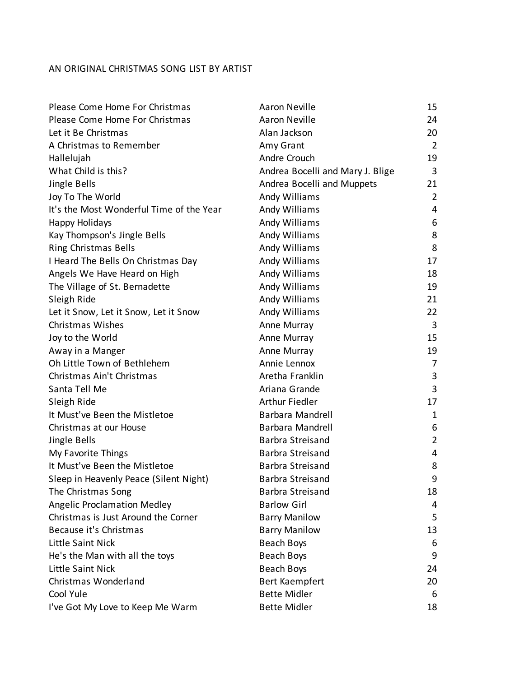## AN ORIGINAL CHRISTMAS SONG LIST BY ARTIST

| Please Come Home For Christmas           | Aaron Neville                    | 15             |
|------------------------------------------|----------------------------------|----------------|
| Please Come Home For Christmas           | Aaron Neville                    | 24             |
| Let it Be Christmas                      | Alan Jackson                     | 20             |
| A Christmas to Remember                  | Amy Grant                        | $\overline{2}$ |
| Hallelujah                               | Andre Crouch                     | 19             |
| What Child is this?                      | Andrea Bocelli and Mary J. Blige | 3              |
| Jingle Bells                             | Andrea Bocelli and Muppets       | 21             |
| Joy To The World                         | Andy Williams                    | $\overline{2}$ |
| It's the Most Wonderful Time of the Year | Andy Williams                    | 4              |
| Happy Holidays                           | Andy Williams                    | 6              |
| Kay Thompson's Jingle Bells              | Andy Williams                    | 8              |
| <b>Ring Christmas Bells</b>              | Andy Williams                    | 8              |
| I Heard The Bells On Christmas Day       | Andy Williams                    | 17             |
| Angels We Have Heard on High             | Andy Williams                    | 18             |
| The Village of St. Bernadette            | Andy Williams                    | 19             |
| Sleigh Ride                              | Andy Williams                    | 21             |
| Let it Snow, Let it Snow, Let it Snow    | Andy Williams                    | 22             |
| Christmas Wishes                         | Anne Murray                      | 3              |
| Joy to the World                         | Anne Murray                      | 15             |
| Away in a Manger                         | Anne Murray                      | 19             |
| Oh Little Town of Bethlehem              | Annie Lennox                     | 7              |
| Christmas Ain't Christmas                | Aretha Franklin                  | 3              |
| Santa Tell Me                            | Ariana Grande                    | 3              |
| Sleigh Ride                              | <b>Arthur Fiedler</b>            | 17             |
| It Must've Been the Mistletoe            | <b>Barbara Mandrell</b>          | 1              |
| Christmas at our House                   | <b>Barbara Mandrell</b>          | 6              |
| Jingle Bells                             | <b>Barbra Streisand</b>          | $\overline{2}$ |
| My Favorite Things                       | <b>Barbra Streisand</b>          | 4              |
| It Must've Been the Mistletoe            | <b>Barbra Streisand</b>          | 8              |
| Sleep in Heavenly Peace (Silent Night)   | <b>Barbra Streisand</b>          | 9              |
| The Christmas Song                       | <b>Barbra Streisand</b>          | 18             |
| <b>Angelic Proclamation Medley</b>       | <b>Barlow Girl</b>               | 4              |
| Christmas is Just Around the Corner      | <b>Barry Manilow</b>             | 5              |
| Because it's Christmas                   | <b>Barry Manilow</b>             | 13             |
| Little Saint Nick                        | <b>Beach Boys</b>                | 6              |
| He's the Man with all the toys           | <b>Beach Boys</b>                | 9              |
| Little Saint Nick                        | <b>Beach Boys</b>                | 24             |
| Christmas Wonderland                     | Bert Kaempfert                   | 20             |
| Cool Yule                                | <b>Bette Midler</b>              | 6              |
| I've Got My Love to Keep Me Warm         | <b>Bette Midler</b>              | 18             |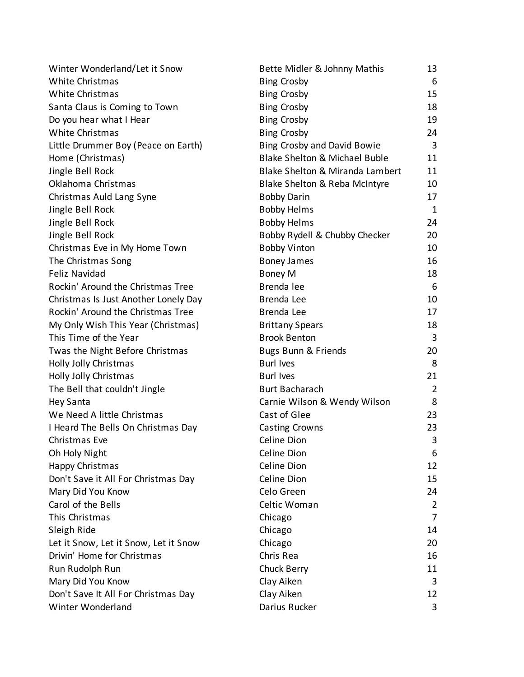| Winter Wonderland/Let it Snow         | Bette Midler & Johnny Mathis       | 13             |
|---------------------------------------|------------------------------------|----------------|
| White Christmas                       | <b>Bing Crosby</b>                 | 6              |
| <b>White Christmas</b>                | <b>Bing Crosby</b>                 | 15             |
| Santa Claus is Coming to Town         | <b>Bing Crosby</b>                 | 18             |
| Do you hear what I Hear               | <b>Bing Crosby</b>                 | 19             |
| White Christmas                       | <b>Bing Crosby</b>                 | 24             |
| Little Drummer Boy (Peace on Earth)   | <b>Bing Crosby and David Bowie</b> | 3              |
| Home (Christmas)                      | Blake Shelton & Michael Buble      | 11             |
| Jingle Bell Rock                      | Blake Shelton & Miranda Lambert    | 11             |
| Oklahoma Christmas                    | Blake Shelton & Reba McIntyre      | 10             |
| Christmas Auld Lang Syne              | <b>Bobby Darin</b>                 | 17             |
| Jingle Bell Rock                      | <b>Bobby Helms</b>                 | $\mathbf{1}$   |
| Jingle Bell Rock                      | <b>Bobby Helms</b>                 | 24             |
| Jingle Bell Rock                      | Bobby Rydell & Chubby Checker      | 20             |
| Christmas Eve in My Home Town         | <b>Bobby Vinton</b>                | 10             |
| The Christmas Song                    | <b>Boney James</b>                 | 16             |
| <b>Feliz Navidad</b>                  | Boney M                            | 18             |
| Rockin' Around the Christmas Tree     | Brenda lee                         | 6              |
| Christmas Is Just Another Lonely Day  | Brenda Lee                         | 10             |
| Rockin' Around the Christmas Tree     | Brenda Lee                         | 17             |
| My Only Wish This Year (Christmas)    | <b>Brittany Spears</b>             | 18             |
| This Time of the Year                 | <b>Brook Benton</b>                | 3              |
| Twas the Night Before Christmas       | Bugs Bunn & Friends                | 20             |
| Holly Jolly Christmas                 | <b>Burl Ives</b>                   | 8              |
| Holly Jolly Christmas                 | <b>Burl Ives</b>                   | 21             |
| The Bell that couldn't Jingle         | <b>Burt Bacharach</b>              | $\overline{2}$ |
| <b>Hey Santa</b>                      | Carnie Wilson & Wendy Wilson       | 8              |
| We Need A little Christmas            | Cast of Glee                       | 23             |
| I Heard The Bells On Christmas Day    | <b>Casting Crowns</b>              | 23             |
| Christmas Eve                         | Celine Dion                        | 3              |
| Oh Holy Night                         | Celine Dion                        | 6              |
| Happy Christmas                       | Celine Dion                        | 12             |
| Don't Save it All For Christmas Day   | Celine Dion                        | 15             |
| Mary Did You Know                     | Celo Green                         | 24             |
| Carol of the Bells                    | Celtic Woman                       | 2              |
| This Christmas                        | Chicago                            | $\overline{7}$ |
| Sleigh Ride                           | Chicago                            | 14             |
| Let it Snow, Let it Snow, Let it Snow | Chicago                            | 20             |
| Drivin' Home for Christmas            | Chris Rea                          | 16             |
| Run Rudolph Run                       | Chuck Berry                        | 11             |
| Mary Did You Know                     | Clay Aiken                         | 3              |
| Don't Save It All For Christmas Day   | Clay Aiken                         | 12             |
| Winter Wonderland                     | Darius Rucker                      | 3              |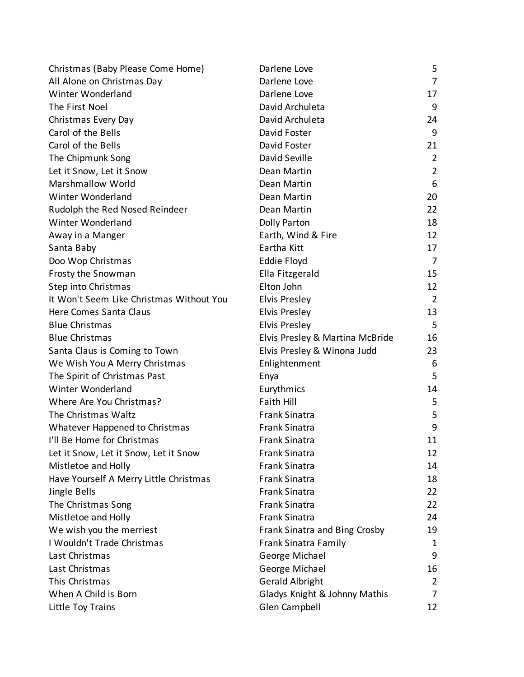| Christmas (Baby Please Come Home)        | Darlene Love                    | 5              |
|------------------------------------------|---------------------------------|----------------|
| All Alone on Christmas Day               | Darlene Love                    | 7              |
| Winter Wonderland                        | Darlene Love                    | 17             |
| The First Noel                           | David Archuleta                 | 9              |
| Christmas Every Day                      | David Archuleta                 | 24             |
| Carol of the Bells                       | David Foster                    | 9              |
| Carol of the Bells                       | David Foster                    | 21             |
| The Chipmunk Song                        | David Seville                   | $\overline{2}$ |
| Let it Snow, Let it Snow                 | Dean Martin                     | $\overline{2}$ |
| <b>Marshmallow World</b>                 | Dean Martin                     | 6              |
| Winter Wonderland                        | Dean Martin                     | 20             |
| Rudolph the Red Nosed Reindeer           | Dean Martin                     | 22             |
| Winter Wonderland                        | Dolly Parton                    | 18             |
| Away in a Manger                         | Earth, Wind & Fire              | 12             |
| Santa Baby                               | Eartha Kitt                     | 17             |
| Doo Wop Christmas                        | Eddie Floyd                     | 7              |
| Frosty the Snowman                       | Ella Fitzgerald                 | 15             |
| Step into Christmas                      | Elton John                      | 12             |
| It Won't Seem Like Christmas Without You | Elvis Presley                   | $\overline{2}$ |
| Here Comes Santa Claus                   | Elvis Presley                   | 13             |
| <b>Blue Christmas</b>                    | Elvis Presley                   | 5              |
| <b>Blue Christmas</b>                    | Elvis Presley & Martina McBride | 16             |
| Santa Claus is Coming to Town            | Elvis Presley & Winona Judd     | 23             |
| We Wish You A Merry Christmas            | Enlightenment                   | 6              |
| The Spirit of Christmas Past             | Enya                            | 5              |
| Winter Wonderland                        | Eurythmics                      | 14             |
| Where Are You Christmas?                 | <b>Faith Hill</b>               | 5              |
| The Christmas Waltz                      | <b>Frank Sinatra</b>            | 5              |
| Whatever Happened to Christmas           | <b>Frank Sinatra</b>            | 9              |
| I'll Be Home for Christmas               | <b>Frank Sinatra</b>            | 11             |
| Let it Snow, Let it Snow, Let it Snow    | <b>Frank Sinatra</b>            | 12             |
| Mistletoe and Holly                      | <b>Frank Sinatra</b>            | 14             |
| Have Yourself A Merry Little Christmas   | <b>Frank Sinatra</b>            | 18             |
| Jingle Bells                             | <b>Frank Sinatra</b>            | 22             |
| The Christmas Song                       | <b>Frank Sinatra</b>            | 22             |
| Mistletoe and Holly                      | <b>Frank Sinatra</b>            | 24             |
| We wish you the merriest                 | Frank Sinatra and Bing Crosby   | 19             |
| I Wouldn't Trade Christmas               | <b>Frank Sinatra Family</b>     | 1              |
| Last Christmas                           | George Michael                  | 9              |
| Last Christmas                           | George Michael                  | 16             |
| This Christmas                           | <b>Gerald Albright</b>          | $\overline{2}$ |
| When A Child is Born                     | Gladys Knight & Johnny Mathis   | 7              |
| Little Toy Trains                        | Glen Campbell                   | 12             |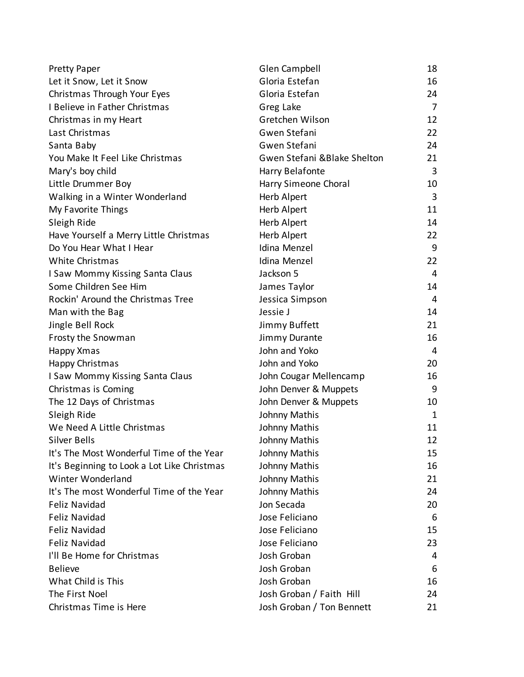| <b>Pretty Paper</b>                         | Glen Campbell               | 18             |
|---------------------------------------------|-----------------------------|----------------|
| Let it Snow, Let it Snow                    | Gloria Estefan              | 16             |
| Christmas Through Your Eyes                 | Gloria Estefan              | 24             |
| I Believe in Father Christmas               | Greg Lake                   | $\overline{7}$ |
| Christmas in my Heart                       | Gretchen Wilson             | 12             |
| Last Christmas                              | Gwen Stefani                | 22             |
| Santa Baby                                  | Gwen Stefani                | 24             |
| You Make It Feel Like Christmas             | Gwen Stefani &Blake Shelton | 21             |
| Mary's boy child                            | Harry Belafonte             | 3              |
| Little Drummer Boy                          | Harry Simeone Choral        | 10             |
| Walking in a Winter Wonderland              | Herb Alpert                 | 3              |
| My Favorite Things                          | Herb Alpert                 | 11             |
| Sleigh Ride                                 | Herb Alpert                 | 14             |
| Have Yourself a Merry Little Christmas      | Herb Alpert                 | 22             |
| Do You Hear What I Hear                     | Idina Menzel                | 9              |
| White Christmas                             | Idina Menzel                | 22             |
| I Saw Mommy Kissing Santa Claus             | Jackson 5                   | 4              |
| Some Children See Him                       | James Taylor                | 14             |
| Rockin' Around the Christmas Tree           | Jessica Simpson             | $\overline{4}$ |
| Man with the Bag                            | Jessie J                    | 14             |
| Jingle Bell Rock                            | Jimmy Buffett               | 21             |
| Frosty the Snowman                          | Jimmy Durante               | 16             |
| Happy Xmas                                  | John and Yoko               | $\overline{4}$ |
| Happy Christmas                             | John and Yoko               | 20             |
| I Saw Mommy Kissing Santa Claus             | John Cougar Mellencamp      | 16             |
| Christmas is Coming                         | John Denver & Muppets       | 9              |
| The 12 Days of Christmas                    | John Denver & Muppets       | 10             |
| Sleigh Ride                                 | Johnny Mathis               | 1              |
| We Need A Little Christmas                  | Johnny Mathis               | 11             |
| <b>Silver Bells</b>                         | Johnny Mathis               | 12             |
| It's The Most Wonderful Time of the Year    | Johnny Mathis               | 15             |
| It's Beginning to Look a Lot Like Christmas | Johnny Mathis               | 16             |
| Winter Wonderland                           | Johnny Mathis               | 21             |
| It's The most Wonderful Time of the Year    | Johnny Mathis               | 24             |
| <b>Feliz Navidad</b>                        | Jon Secada                  | 20             |
| <b>Feliz Navidad</b>                        | Jose Feliciano              | 6              |
| <b>Feliz Navidad</b>                        | Jose Feliciano              | 15             |
| <b>Feliz Navidad</b>                        | Jose Feliciano              | 23             |
| I'll Be Home for Christmas                  | Josh Groban                 | 4              |
| <b>Believe</b>                              | Josh Groban                 | 6              |
| What Child is This                          | Josh Groban                 | 16             |
| The First Noel                              | Josh Groban / Faith Hill    | 24             |
| Christmas Time is Here                      | Josh Groban / Ton Bennett   | 21             |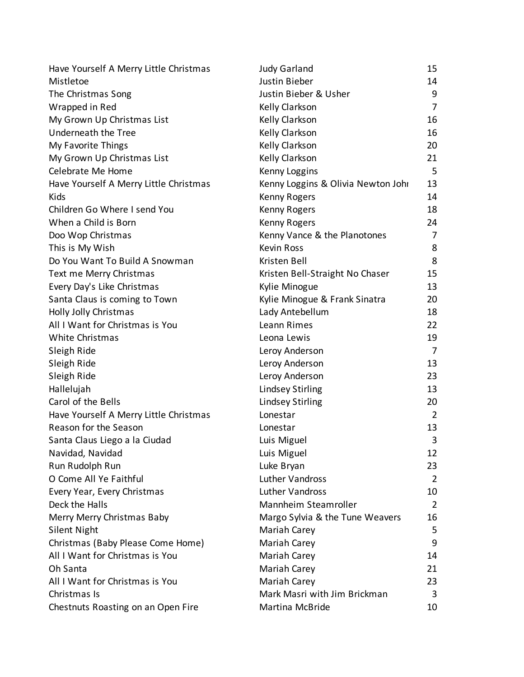| Have Yourself A Merry Little Christmas | <b>Judy Garland</b>                | 15             |
|----------------------------------------|------------------------------------|----------------|
| Mistletoe                              | Justin Bieber                      | 14             |
| The Christmas Song                     | Justin Bieber & Usher              | 9              |
| Wrapped in Red                         | Kelly Clarkson                     | $\overline{7}$ |
| My Grown Up Christmas List             | Kelly Clarkson                     | 16             |
| Underneath the Tree                    | Kelly Clarkson                     | 16             |
| My Favorite Things                     | Kelly Clarkson                     | 20             |
| My Grown Up Christmas List             | Kelly Clarkson                     | 21             |
| Celebrate Me Home                      | Kenny Loggins                      | 5              |
| Have Yourself A Merry Little Christmas | Kenny Loggins & Olivia Newton Johr | 13             |
| Kids                                   | Kenny Rogers                       | 14             |
| Children Go Where I send You           | Kenny Rogers                       | 18             |
| When a Child is Born                   | Kenny Rogers                       | 24             |
| Doo Wop Christmas                      | Kenny Vance & the Planotones       | $\overline{7}$ |
| This is My Wish                        | <b>Kevin Ross</b>                  | 8              |
| Do You Want To Build A Snowman         | Kristen Bell                       | 8              |
| Text me Merry Christmas                | Kristen Bell-Straight No Chaser    | 15             |
| Every Day's Like Christmas             | Kylie Minogue                      | 13             |
| Santa Claus is coming to Town          | Kylie Minogue & Frank Sinatra      | 20             |
| Holly Jolly Christmas                  | Lady Antebellum                    | 18             |
| All I Want for Christmas is You        | Leann Rimes                        | 22             |
| White Christmas                        | Leona Lewis                        | 19             |
| Sleigh Ride                            | Leroy Anderson                     | $\overline{7}$ |
| Sleigh Ride                            | Leroy Anderson                     | 13             |
| Sleigh Ride                            | Leroy Anderson                     | 23             |
| Hallelujah                             | <b>Lindsey Stirling</b>            | 13             |
| Carol of the Bells                     | <b>Lindsey Stirling</b>            | 20             |
| Have Yourself A Merry Little Christmas | Lonestar                           | $\overline{2}$ |
| Reason for the Season                  | Lonestar                           | 13             |
| Santa Claus Liego a la Ciudad          | Luis Miguel                        | 3              |
| Navidad, Navidad                       | Luis Miguel                        | 12             |
| Run Rudolph Run                        | Luke Bryan                         | 23             |
| O Come All Ye Faithful                 | <b>Luther Vandross</b>             | $\overline{2}$ |
| Every Year, Every Christmas            | Luther Vandross                    | 10             |
| Deck the Halls                         | Mannheim Steamroller               | $\overline{2}$ |
| Merry Merry Christmas Baby             | Margo Sylvia & the Tune Weavers    | 16             |
| <b>Silent Night</b>                    | Mariah Carey                       | 5              |
| Christmas (Baby Please Come Home)      | Mariah Carey                       | 9              |
| All I Want for Christmas is You        | Mariah Carey                       | 14             |
| Oh Santa                               | Mariah Carey                       | 21             |
| All I Want for Christmas is You        | Mariah Carey                       | 23             |
| Christmas Is                           | Mark Masri with Jim Brickman       | 3              |
| Chestnuts Roasting on an Open Fire     | Martina McBride                    | 10             |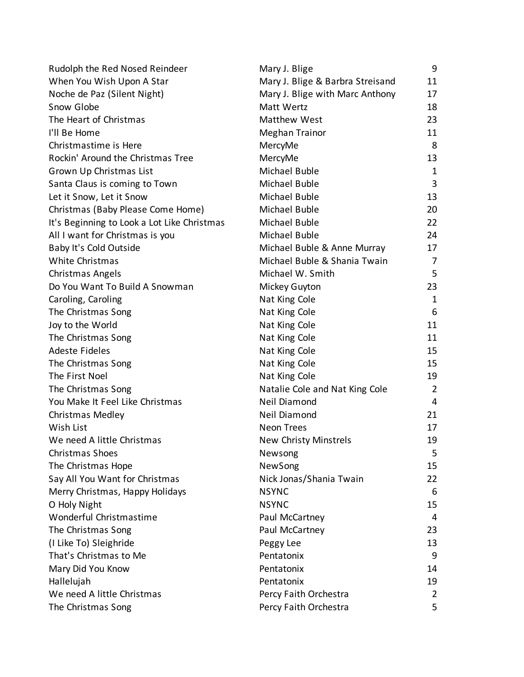| Rudolph the Red Nosed Reindeer              | Mary J. Blige                    | 9              |
|---------------------------------------------|----------------------------------|----------------|
| When You Wish Upon A Star                   | Mary J. Blige & Barbra Streisand | 11             |
| Noche de Paz (Silent Night)                 | Mary J. Blige with Marc Anthony  | 17             |
| Snow Globe                                  | Matt Wertz                       | 18             |
| The Heart of Christmas                      | Matthew West                     | 23             |
| I'll Be Home                                | <b>Meghan Trainor</b>            | 11             |
| Christmastime is Here                       | MercyMe                          | 8              |
| Rockin' Around the Christmas Tree           | MercyMe                          | 13             |
| Grown Up Christmas List                     | Michael Buble                    | 1              |
| Santa Claus is coming to Town               | Michael Buble                    | 3              |
| Let it Snow, Let it Snow                    | Michael Buble                    | 13             |
| Christmas (Baby Please Come Home)           | Michael Buble                    | 20             |
| It's Beginning to Look a Lot Like Christmas | Michael Buble                    | 22             |
| All I want for Christmas is you             | Michael Buble                    | 24             |
| Baby It's Cold Outside                      | Michael Buble & Anne Murray      | 17             |
| White Christmas                             | Michael Buble & Shania Twain     | 7              |
| Christmas Angels                            | Michael W. Smith                 | 5              |
| Do You Want To Build A Snowman              | Mickey Guyton                    | 23             |
| Caroling, Caroling                          | Nat King Cole                    | 1              |
| The Christmas Song                          | Nat King Cole                    | 6              |
| Joy to the World                            | Nat King Cole                    | 11             |
| The Christmas Song                          | Nat King Cole                    | 11             |
| <b>Adeste Fideles</b>                       | Nat King Cole                    | 15             |
| The Christmas Song                          | Nat King Cole                    | 15             |
| The First Noel                              | Nat King Cole                    | 19             |
| The Christmas Song                          | Natalie Cole and Nat King Cole   | $\overline{2}$ |
| You Make It Feel Like Christmas             | Neil Diamond                     | 4              |
| Christmas Medley                            | Neil Diamond                     | 21             |
| Wish List                                   | <b>Neon Trees</b>                | 17             |
| We need A little Christmas                  | <b>New Christy Minstrels</b>     | 19             |
| Christmas Shoes                             | Newsong                          | 5              |
| The Christmas Hope                          | NewSong                          | 15             |
| Say All You Want for Christmas              | Nick Jonas/Shania Twain          | 22             |
| Merry Christmas, Happy Holidays             | <b>NSYNC</b>                     | 6              |
| O Holy Night                                | <b>NSYNC</b>                     | 15             |
| Wonderful Christmastime                     | Paul McCartney                   | 4              |
| The Christmas Song                          | Paul McCartney                   | 23             |
| (I Like To) Sleighride                      | Peggy Lee                        | 13             |
| That's Christmas to Me                      | Pentatonix                       | 9              |
| Mary Did You Know                           | Pentatonix                       | 14             |
| Hallelujah                                  | Pentatonix                       | 19             |
| We need A little Christmas                  | Percy Faith Orchestra            | $\overline{2}$ |
| The Christmas Song                          | Percy Faith Orchestra            | 5              |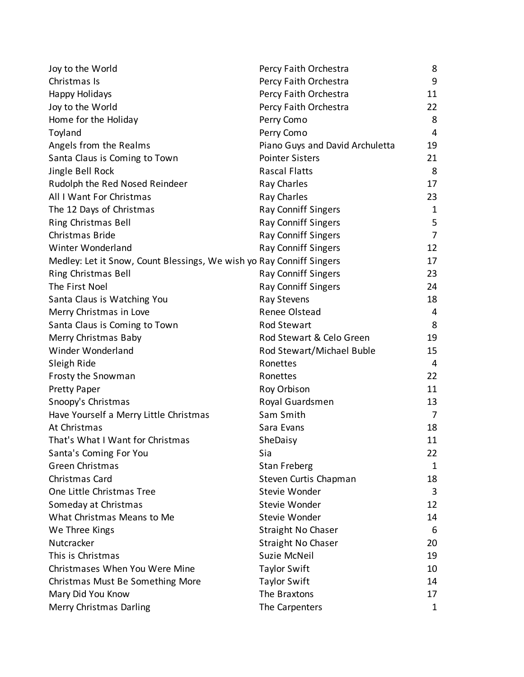| Joy to the World                                                     | Percy Faith Orchestra           | 8              |
|----------------------------------------------------------------------|---------------------------------|----------------|
| Christmas Is                                                         | Percy Faith Orchestra           | 9              |
| Happy Holidays                                                       | Percy Faith Orchestra           | 11             |
| Joy to the World                                                     | Percy Faith Orchestra           | 22             |
| Home for the Holiday                                                 | Perry Como                      | 8              |
| Toyland                                                              | Perry Como                      | $\overline{4}$ |
| Angels from the Realms                                               | Piano Guys and David Archuletta | 19             |
| Santa Claus is Coming to Town                                        | <b>Pointer Sisters</b>          | 21             |
| Jingle Bell Rock                                                     | <b>Rascal Flatts</b>            | 8              |
| Rudolph the Red Nosed Reindeer                                       | Ray Charles                     | 17             |
| All I Want For Christmas                                             | Ray Charles                     | 23             |
| The 12 Days of Christmas                                             | Ray Conniff Singers             | 1              |
| Ring Christmas Bell                                                  | <b>Ray Conniff Singers</b>      | 5              |
| Christmas Bride                                                      | Ray Conniff Singers             | $\overline{7}$ |
| Winter Wonderland                                                    | <b>Ray Conniff Singers</b>      | 12             |
| Medley: Let it Snow, Count Blessings, We wish yo Ray Conniff Singers |                                 | 17             |
| Ring Christmas Bell                                                  | <b>Ray Conniff Singers</b>      | 23             |
| The First Noel                                                       | <b>Ray Conniff Singers</b>      | 24             |
| Santa Claus is Watching You                                          | Ray Stevens                     | 18             |
| Merry Christmas in Love                                              | Renee Olstead                   | 4              |
| Santa Claus is Coming to Town                                        | <b>Rod Stewart</b>              | 8              |
| Merry Christmas Baby                                                 | Rod Stewart & Celo Green        | 19             |
| Winder Wonderland                                                    | Rod Stewart/Michael Buble       | 15             |
| Sleigh Ride                                                          | Ronettes                        | 4              |
| Frosty the Snowman                                                   | Ronettes                        | 22             |
| <b>Pretty Paper</b>                                                  | Roy Orbison                     | 11             |
| Snoopy's Christmas                                                   | Royal Guardsmen                 | 13             |
| Have Yourself a Merry Little Christmas                               | Sam Smith                       | 7              |
| At Christmas                                                         | Sara Evans                      | 18             |
| That's What I Want for Christmas                                     | SheDaisy                        | 11             |
| Santa's Coming For You                                               | Sia                             | 22             |
| <b>Green Christmas</b>                                               | <b>Stan Freberg</b>             | 1              |
| Christmas Card                                                       | Steven Curtis Chapman           | 18             |
| One Little Christmas Tree                                            | Stevie Wonder                   | 3              |
| Someday at Christmas                                                 | Stevie Wonder                   | 12             |
| What Christmas Means to Me                                           | Stevie Wonder                   | 14             |
| We Three Kings                                                       | <b>Straight No Chaser</b>       | 6              |
| Nutcracker                                                           | <b>Straight No Chaser</b>       | 20             |
| This is Christmas                                                    | Suzie McNeil                    | 19             |
| Christmases When You Were Mine                                       | <b>Taylor Swift</b>             | 10             |
| Christmas Must Be Something More                                     | <b>Taylor Swift</b>             | 14             |
| Mary Did You Know                                                    | The Braxtons                    | 17             |
| Merry Christmas Darling                                              | The Carpenters                  | 1              |